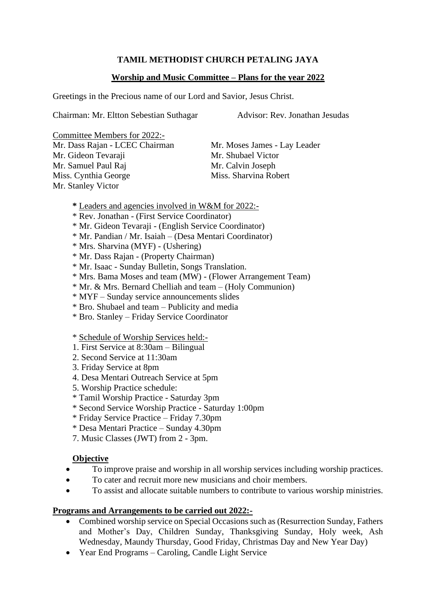# **TAMIL METHODIST CHURCH PETALING JAYA**

## **Worship and Music Committee – Plans for the year 2022**

Greetings in the Precious name of our Lord and Savior, Jesus Christ.

Chairman: Mr. Eltton Sebestian Suthagar Advisor: Rev. Jonathan Jesudas

Committee Members for 2022:-

Mr. Dass Rajan - LCEC Chairman Mr. Moses James - Lay Leader Mr. Gideon Tevaraji Mr. Shubael Victor Mr. Samuel Paul Raj Mr. Calvin Joseph Miss. Cynthia George Miss. Sharvina Robert Mr. Stanley Victor

- **\*** Leaders and agencies involved in W&M for 2022:-
- \* Rev. Jonathan (First Service Coordinator)
- \* Mr. Gideon Tevaraji (English Service Coordinator)
- \* Mr. Pandian / Mr. Isaiah (Desa Mentari Coordinator)
- \* Mrs. Sharvina (MYF) (Ushering)
- \* Mr. Dass Rajan (Property Chairman)
- \* Mr. Isaac Sunday Bulletin, Songs Translation.
- \* Mrs. Bama Moses and team (MW) (Flower Arrangement Team)
- \* Mr. & Mrs. Bernard Chelliah and team (Holy Communion)
- \* MYF Sunday service announcements slides
- \* Bro. Shubael and team Publicity and media
- \* Bro. Stanley Friday Service Coordinator

#### \* Schedule of Worship Services held:-

- 1. First Service at 8:30am Bilingual
- 2. Second Service at 11:30am
- 3. Friday Service at 8pm
- 4. Desa Mentari Outreach Service at 5pm
- 5. Worship Practice schedule:
- \* Tamil Worship Practice Saturday 3pm
- \* Second Service Worship Practice Saturday 1:00pm
- \* Friday Service Practice Friday 7.30pm
- \* Desa Mentari Practice Sunday 4.30pm
- 7. Music Classes (JWT) from 2 3pm.

#### **Objective**

- To improve praise and worship in all worship services including worship practices.
- To cater and recruit more new musicians and choir members.
- To assist and allocate suitable numbers to contribute to various worship ministries.

## **Programs and Arrangements to be carried out 2022:-**

- Combined worship service on Special Occasions such as (Resurrection Sunday, Fathers and Mother's Day, Children Sunday, Thanksgiving Sunday, Holy week, Ash Wednesday, Maundy Thursday, Good Friday, Christmas Day and New Year Day)
- Year End Programs Caroling, Candle Light Service